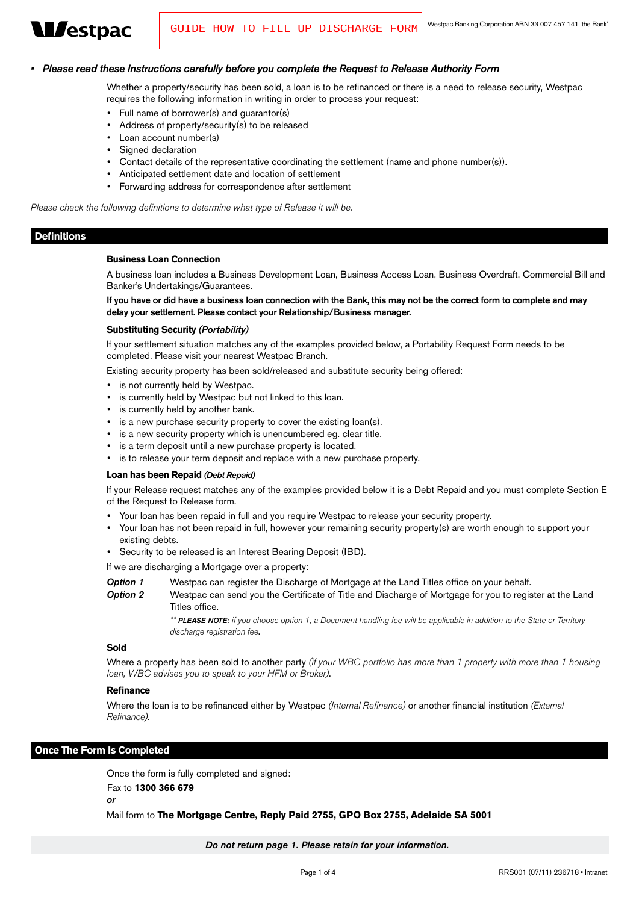

### Please read these Instructions carefully before you complete the Request to Release Authority Form

Whether a property/security has been sold, a loan is to be refinanced or there is a need to release security, Westpac requires the following information in writing in order to process your request:

- Full name of borrower(s) and quarantor(s)
- Address of property/security(s) to be released
- Loan account number(s)
- Signed declaration
- Contact details of the representative coordinating the settlement (name and phone number(s)).
- Anticipated settlement date and location of settlement
- • Forwarding address for correspondence after settlement

Please check the following definitions to determine what type of Release it will be.

#### **Definitions**

#### **Business Loan Connection**

A business loan includes a Business Development Loan, Business Access Loan, Business Overdraft, Commercial Bill and Banker's Undertakings/Guarantees.

If you have or did have a business loan connection with the Bank, this may not be the correct form to complete and may delay your settlement. Please contact your Relationship/Business manager.

#### **Substituting Security** (Portability)

If your settlement situation matches any of the examples provided below, a Portability Request Form needs to be completed. Please visit your nearest Westpac Branch.

Existing security property has been sold/released and substitute security being offered:

- is not currently held by Westpac.
- is currently held by Westpac but not linked to this loan.
- is currently held by another bank.
- is a new purchase security property to cover the existing loan(s).
- is a new security property which is unencumbered eg. clear title.
- is a term deposit until a new purchase property is located.
- is to release your term deposit and replace with a new purchase property.

# **Loan has been Repaid (Debt Repaid)**

If your Release request matches any of the examples provided below it is a Debt Repaid and you must complete Section E of the Request to Release form.

- Your loan has been repaid in full and you require Westpac to release your security property.
- Your loan has not been repaid in full, however your remaining security property(s) are worth enough to support your existing debts.
- Security to be released is an Interest Bearing Deposit (IBD).

If we are discharging a Mortgage over a property:

- **Option 1** Westpac can register the Discharge of Mortgage at the Land Titles office on your behalf.
- **Option 2** Westpac can send you the Certificate of Title and Discharge of Mortgage for you to register at the Land Titles office.

\*\* PLEASE NOTE: if you choose option 1, a Document handling fee will be applicable in addition to the State or Territory discharge registration fee.

# **Sold**

Where a property has been sold to another party (if your WBC portfolio has more than 1 property with more than 1 housing loan, WBC advises you to speak to your HFM or Broker).

#### **Refinance**

Where the loan is to be refinanced either by Westpac (Internal Refinance) or another financial institution (External Refinance).

# **Once The Form Is Completed**

Once the form is fully completed and signed: Fax to **1300 366 679**

or

Mail form to **The Mortgage Centre, Reply Paid 2755, GPO Box 2755, Adelaide SA 5001**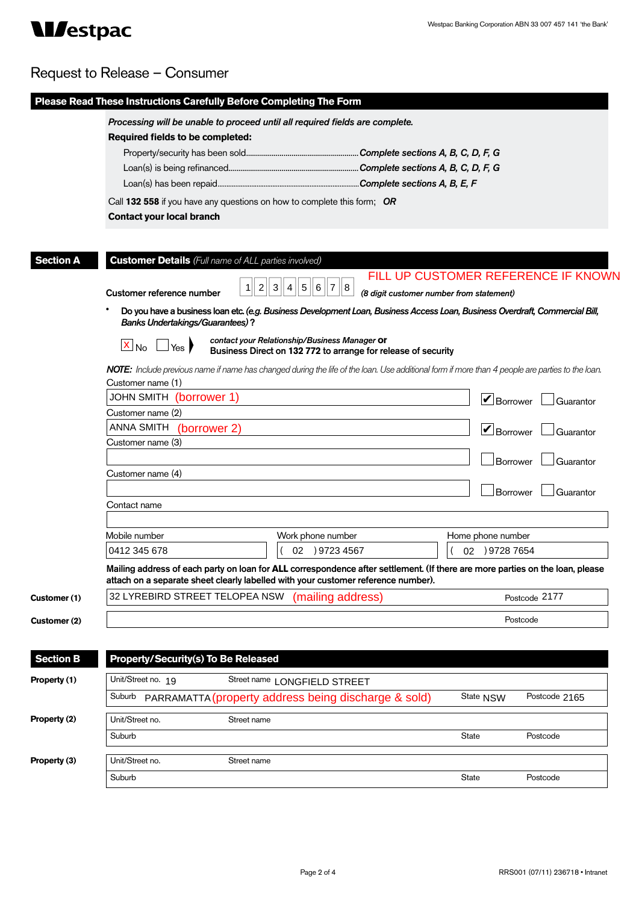

# Request to Release – Consumer

|                  | Please Read These Instructions Carefully Before Completing The Form                                                                                                    |                                                                                                                  |                                                                                                                                                 |                           |                                     |  |  |
|------------------|------------------------------------------------------------------------------------------------------------------------------------------------------------------------|------------------------------------------------------------------------------------------------------------------|-------------------------------------------------------------------------------------------------------------------------------------------------|---------------------------|-------------------------------------|--|--|
|                  | Required fields to be completed:                                                                                                                                       | Processing will be unable to proceed until all required fields are complete.                                     |                                                                                                                                                 |                           |                                     |  |  |
|                  |                                                                                                                                                                        |                                                                                                                  |                                                                                                                                                 |                           |                                     |  |  |
|                  |                                                                                                                                                                        |                                                                                                                  |                                                                                                                                                 |                           |                                     |  |  |
|                  |                                                                                                                                                                        |                                                                                                                  |                                                                                                                                                 |                           |                                     |  |  |
|                  |                                                                                                                                                                        | Call 132 558 if you have any questions on how to complete this form; OR                                          |                                                                                                                                                 |                           |                                     |  |  |
|                  | Contact your local branch                                                                                                                                              |                                                                                                                  |                                                                                                                                                 |                           |                                     |  |  |
| <b>Section A</b> | <b>Customer Details</b> (Full name of ALL parties involved)                                                                                                            |                                                                                                                  |                                                                                                                                                 |                           | FILL UP CUSTOMER REFERENCE IF KNOWN |  |  |
|                  |                                                                                                                                                                        | $\,8\,$<br>5<br> 7 <br>2<br>3<br>4<br>6<br>Customer reference number<br>(8 digit customer number from statement) |                                                                                                                                                 |                           |                                     |  |  |
|                  | Do you have a business loan etc. (e.g. Business Development Loan, Business Access Loan, Business Overdraft, Commercial Bill,<br><b>Banks Undertakings/Guarantees)?</b> |                                                                                                                  |                                                                                                                                                 |                           |                                     |  |  |
|                  | $X_{No}$<br>Yes                                                                                                                                                        | contact your Relationship/Business Manager Or                                                                    | Business Direct on 132 772 to arrange for release of security                                                                                   |                           |                                     |  |  |
|                  | Customer name (1)                                                                                                                                                      |                                                                                                                  | NOTE: Include previous name if name has changed during the life of the loan. Use additional form if more than 4 people are parties to the loan. |                           |                                     |  |  |
|                  | JOHN SMITH (borrower 1)                                                                                                                                                |                                                                                                                  |                                                                                                                                                 | $\triangleright$ Borrower | Guarantor                           |  |  |
|                  | Customer name (2)                                                                                                                                                      |                                                                                                                  |                                                                                                                                                 |                           |                                     |  |  |
|                  | ANNA SMITH<br>(borrower 2)                                                                                                                                             |                                                                                                                  |                                                                                                                                                 | $ $ Borrower              | Guarantor                           |  |  |
|                  | Customer name (3)                                                                                                                                                      |                                                                                                                  |                                                                                                                                                 |                           |                                     |  |  |
|                  |                                                                                                                                                                        |                                                                                                                  |                                                                                                                                                 | Borrower                  | Guarantor                           |  |  |
|                  | Customer name (4)                                                                                                                                                      |                                                                                                                  |                                                                                                                                                 |                           |                                     |  |  |
|                  |                                                                                                                                                                        |                                                                                                                  |                                                                                                                                                 | Borrower                  | Guarantor                           |  |  |
|                  | Contact name                                                                                                                                                           |                                                                                                                  |                                                                                                                                                 |                           |                                     |  |  |
|                  |                                                                                                                                                                        |                                                                                                                  |                                                                                                                                                 |                           |                                     |  |  |
|                  | Mobile number                                                                                                                                                          | Work phone number                                                                                                |                                                                                                                                                 | Home phone number         |                                     |  |  |
|                  | 0412 345 678                                                                                                                                                           | 02 <sub>2</sub>                                                                                                  | ) 9723 4567                                                                                                                                     | 02 ) 9728 7654            |                                     |  |  |
|                  |                                                                                                                                                                        | attach on a separate sheet clearly labelled with your customer reference number).                                | Mailing address of each party on loan for ALL correspondence after settlement. (If there are more parties on the loan, please                   |                           |                                     |  |  |
| Customer (1)     | 32 LYREBIRD STREET TELOPEA NSW                                                                                                                                         |                                                                                                                  | (mailing address)                                                                                                                               |                           | Postcode 2177                       |  |  |
| Customer (2)     |                                                                                                                                                                        |                                                                                                                  |                                                                                                                                                 |                           | Postcode                            |  |  |
| <b>Section B</b> | Property/Security(s) To Be Released                                                                                                                                    |                                                                                                                  |                                                                                                                                                 |                           |                                     |  |  |
|                  |                                                                                                                                                                        |                                                                                                                  |                                                                                                                                                 |                           |                                     |  |  |
| Property (1)     | Unit/Street no. 19                                                                                                                                                     | Street name LONGFIELD STREET                                                                                     |                                                                                                                                                 |                           |                                     |  |  |
|                  | Suburb                                                                                                                                                                 | PARRAMATTA (property address being discharge & sold)                                                             |                                                                                                                                                 | State NSW                 | Postcode 2165                       |  |  |
| Property (2)     | Unit/Street no.                                                                                                                                                        | Street name                                                                                                      |                                                                                                                                                 |                           |                                     |  |  |
|                  | Suburb                                                                                                                                                                 |                                                                                                                  |                                                                                                                                                 | <b>State</b>              | Postcode                            |  |  |
| Property (3)     | Unit/Street no.                                                                                                                                                        | Street name                                                                                                      |                                                                                                                                                 |                           |                                     |  |  |
|                  | Suburb                                                                                                                                                                 |                                                                                                                  |                                                                                                                                                 | State                     | Postcode                            |  |  |
|                  |                                                                                                                                                                        |                                                                                                                  |                                                                                                                                                 |                           |                                     |  |  |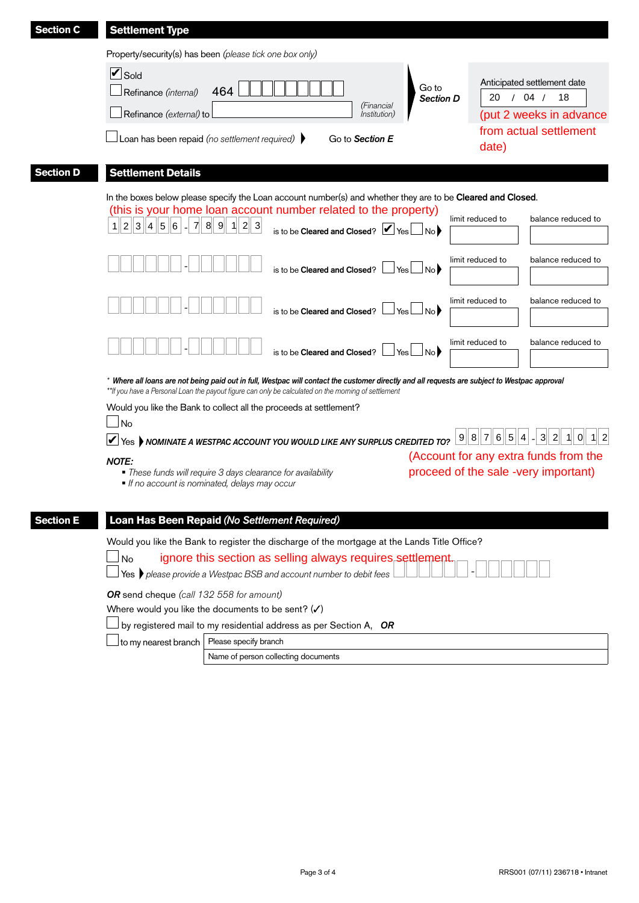| <b>Section C</b> | <b>Settlement Type</b>                                                                                                                                                                                                                                                                                                                                                          |                                                                                                                     |  |  |  |  |
|------------------|---------------------------------------------------------------------------------------------------------------------------------------------------------------------------------------------------------------------------------------------------------------------------------------------------------------------------------------------------------------------------------|---------------------------------------------------------------------------------------------------------------------|--|--|--|--|
|                  | Property/security(s) has been (please tick one box only)                                                                                                                                                                                                                                                                                                                        |                                                                                                                     |  |  |  |  |
|                  | $\mathbf{V}$ Sold<br>Go to<br>464<br>Refinance (internal)<br><b>Section D</b><br>(Financial<br>Refinance (external) to<br><i>Institution)</i><br>Loan has been repaid (no settlement required) $\blacktriangleright$<br>Go to Section E                                                                                                                                         | Anticipated settlement date<br>$/$ 04 $/$<br>20<br>18<br>(put 2 weeks in advance<br>from actual settlement<br>date) |  |  |  |  |
| <b>Section D</b> | <b>Settlement Details</b>                                                                                                                                                                                                                                                                                                                                                       |                                                                                                                     |  |  |  |  |
|                  | In the boxes below please specify the Loan account number(s) and whether they are to be Cleared and Closed.<br>(this is your home loan account number related to the property)<br>$\overline{7}$<br> 9 <br>1  2  3  4  5  6<br>8 <sup>  </sup><br>$\vert$ 2<br>$\mathbf{3}$<br>is to be Cleared and Closed?   Yes<br>$\Box$ No<br>is to be Cleared and Closed?<br>J No ₱<br>Yes | limit reduced to<br>balance reduced to<br>limit reduced to<br>balance reduced to                                    |  |  |  |  |
|                  | is to be Cleared and Closed?<br>J No ₱<br>J Yes                                                                                                                                                                                                                                                                                                                                 | limit reduced to<br>balance reduced to                                                                              |  |  |  |  |
|                  | is to be Cleared and Closed?<br>∐ No ₱<br>l Yes                                                                                                                                                                                                                                                                                                                                 | limit reduced to<br>balance reduced to                                                                              |  |  |  |  |
|                  | * Where all loans are not being paid out in full, Westpac will contact the customer directly and all requests are subject to Westpac approval<br>**If you have a Personal Loan the payout figure can only be calculated on the morning of settlement                                                                                                                            |                                                                                                                     |  |  |  |  |
|                  | Would you like the Bank to collect all the proceeds at settlement?<br>$\Box$ No<br>6  5<br>3 2 <br>$\ 8\ 7\ $<br>$\vert 4 \vert$<br> 9 <br>2<br>$\vert 0 \vert$<br>Yes > NOMINATE A WESTPAC ACCOUNT YOU WOULD LIKE ANY SURPLUS CREDITED TO?                                                                                                                                     |                                                                                                                     |  |  |  |  |
|                  | <b>NOTE:</b><br>• These funds will require 3 days clearance for availability<br>If no account is nominated, delays may occur                                                                                                                                                                                                                                                    | (Account for any extra funds from the<br>proceed of the sale -very important)                                       |  |  |  |  |
| <b>Section E</b> | Loan Has Been Repaid (No Settlement Required)                                                                                                                                                                                                                                                                                                                                   |                                                                                                                     |  |  |  |  |
|                  | Would you like the Bank to register the discharge of the mortgage at the Lands Title Office?<br>ignore this section as selling always requires settlement.<br>No<br>Yes please provide a Westpac BSB and account number to debit fees                                                                                                                                           |                                                                                                                     |  |  |  |  |
|                  | OR send cheque (call 132 558 for amount)<br>Where would you like the documents to be sent? $(\checkmark)$<br>by registered mail to my residential address as per Section A, OR<br>to my nearest branch   Please specify branch                                                                                                                                                  |                                                                                                                     |  |  |  |  |
|                  |                                                                                                                                                                                                                                                                                                                                                                                 |                                                                                                                     |  |  |  |  |

Name of person collecting documents